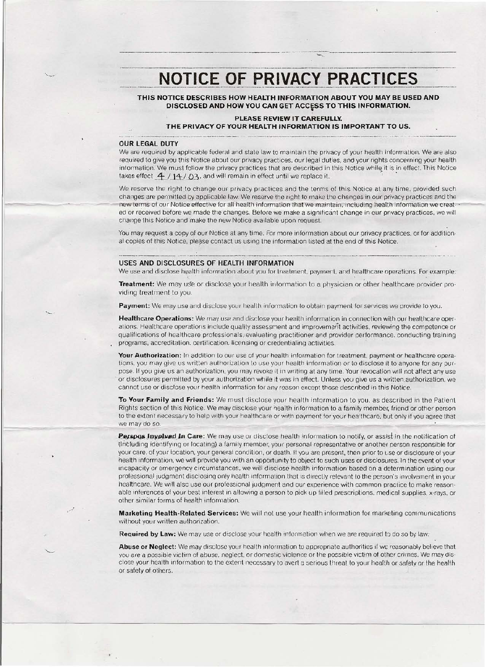# **NOTICE OF PRIVACY PRACTICES**

---\_.\_------\_.\_----------\_.- ..\_\_ ...\_----:--------------------------

**THIS NOTICE DESCRIBES HOW HEALTH INFORMATION ABOUT YOU MAY BE USED AND DISCLOSED AND HOW YOU CAN GET ACCESS TO THIS INFORMATION.** 

# **PLEASE REVIEW IT CAREFUllY.**

**THE PRIVACY OF YOUR HEALTH INFORMATION IS IMPORTANT TO US.**

#### **OUR LEGAL DUTY**

We are required by applicable federal and state law to maintain the privacy of your health information. We are also required to give you this Notice about our privacy practices. our /egal duties. and your rights concerning your health information. We must follow the privacy practices that are described in this Notice while, it is in effect. This Notice takes effect  $4/14/03$ . and will remain in effect until we replace it.

We reserve the right to change our privacy practices and the terms of this Notice at any time, provided such changes are permitted by applicable law. We reserve the right to make the changes in our privacy practices and the new terms of our Notice effective for all health information that we maintain, including health information we created or received before we made the changes. Before we make a significant change in our privacy practices. we will change this Notice and make the new Notice available upon requesi.

You may request a copy of our Notice at any time. For more information about our privacy practices. or for additiona! copies of this Notice. please contact us using the information listed at the end of this Notice.

#### **USES AND DISCLOSURES OF HEALTH INFORMATION**

We use and disclose health information about you for treatment. payment. and healthcare operations. For example:

Treatment: We may use or disclose your health information to a physician or other healthcare provider providing treatment to you.

Payment: We may use and disclose your health information to obtain payment for services we provide to you.

**Healthcare Operations:** We may use and disclose your health information in connection with our healthcare operations. Healthcare operations include quality assessment and lrnprovsmerit activities. reviewing the competence or qualifications of healthcare professionals, evaluating practitioner and provider performance. conducting training programs, accreditaiion. certification. licensing or credentialing activities. .

**Your Authorization:** In addition to our use of your health information for treatment. payment or healthcare operations, you may qive us written authorization to use your health information or to disclose it to anyone for any pur· pose. It you give us an authorization. you may revoke it in writing at any time. Your revocation will not affect any use . or disclosures permitted by your authorization while it was in effect. Unless you give us a written. authorization. we cannot use or disclose your health information for any reason except those described in this Notice.

**To Your Family and Friends:** We must disclose your health information to you. as described in the Patient Rights section of this Notice. We may disclose your nealth information to a family member, friend or other person to the extent necessary to help with your healthcare or with payment for your hea'thcare, but only if you agree that we may do so.

Persons Involved In Care: We may use or disclose health information to notify, or assist in the notification of (including identifying or locating) a family member, your personal representative or another person responsible for your care. of your location. your general condition. or death. <sup>11</sup> you are present, then prior to Lse or disclosure of your health information. we will provide you with an ooportuntty to object to such uses or disclosures. In the event of your Incapacity or emergency circumstances. we will disclose health information based on a determination using our professional judgment disclosing only health information that is direcliy relevant to the person's involvement in your healthcare. We will atso use our professional judgment and our experience with common practice to make reasonable inferences of your best interest in allowing a person to pick up filled prescriptions, medical supplies, x-rays, or other similar forms of health information.

**Marketing Health-Related Services:** We will not use your health information for marketing communications without your written authorization.

**Required by Law:** We may use or disclose your health information when we are required to do so by law.

Abuse or Neglect: We may disclose your health information to appropriate authorities if we reasonably believe that you are a possible victim of abuse, neglect, or domestic violence or the possible victim of other crimes. We may disclose your health information to the extent necessary to avert a serious threat to your health or safety or the health or safety of others.